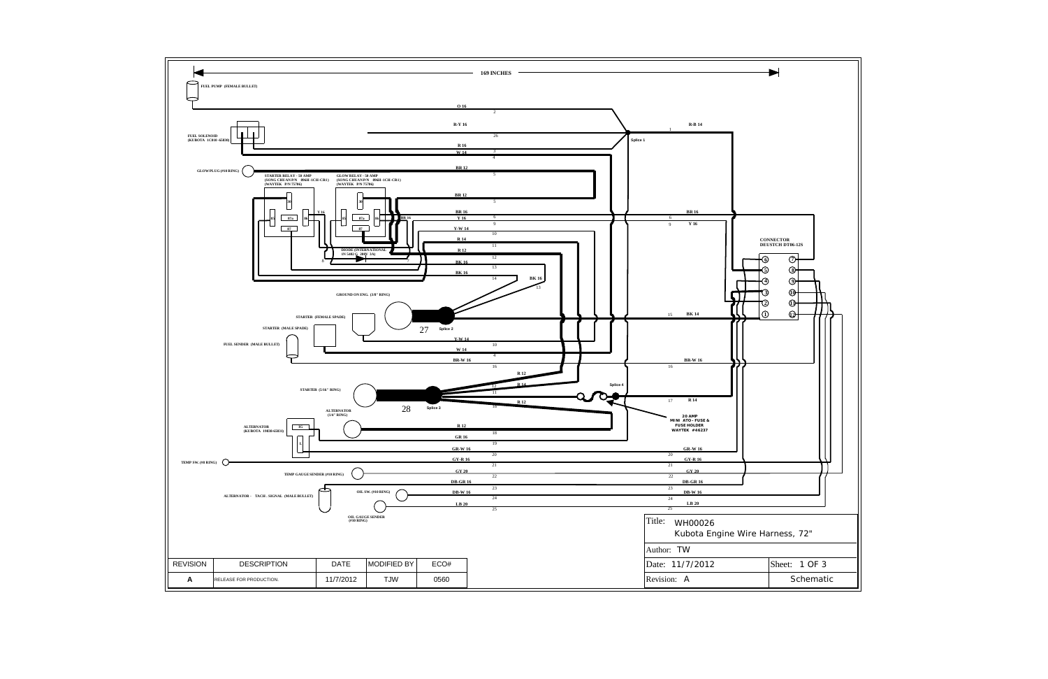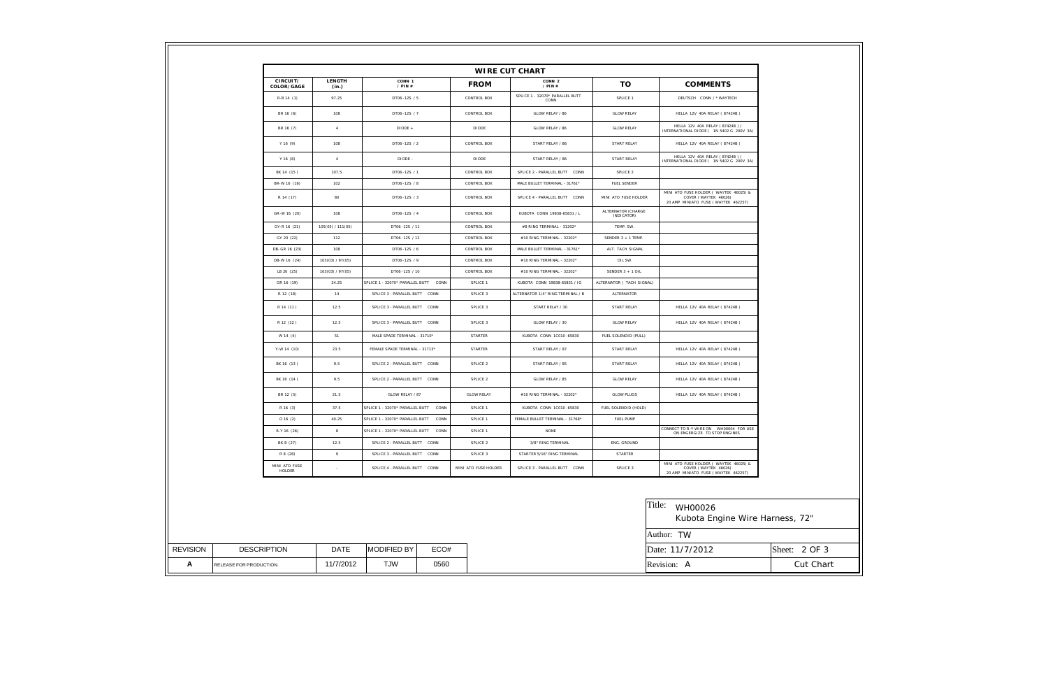| ECO#               | <b>MODIFIED BY</b><br>DATE | <b>DESCRIPTION</b>      |
|--------------------|----------------------------|-------------------------|
| <b>TJW</b><br>0560 | 11/7/2012                  | RELEASE FOR PRODUCTION. |

| arness, 72"   |
|---------------|
|               |
| Sheet: 2 OF 3 |
| Cut Chart     |

| CIRCUIT/<br>COLOR/GAGE  | <b>LENGTH</b><br>(in.) | CONN 1<br>$/$ PIN $#$                   | <b>FROM</b>          | CONN 2<br>/ $PIN#$                      | <b>TO</b>                        | <b>COMMENTS</b>                                                                                       |
|-------------------------|------------------------|-----------------------------------------|----------------------|-----------------------------------------|----------------------------------|-------------------------------------------------------------------------------------------------------|
| $R-B 14 (1)$            | 97.25                  | DT06-12S / 5                            | CONTROL BOX          | SPLICE 1 - 32070* PARALLEL BUTT<br>CONN | SPLICE 1                         | DEUTSCH CONN / * WAYTECH                                                                              |
| BR 16 (6)               | 108                    | DT06-12S / 7                            | CONTROL BOX          | GLOW RELAY / 86                         | <b>GLOW RELAY</b>                | HELLA 12V 40A RELAY (87424B)                                                                          |
| BR 16 (7)               | $\overline{4}$         | DIODE +                                 | DIODE                | GLOW RELAY / 86                         | <b>GLOW RELAY</b>                | HELLA 12V 40A RELAY (87424B) /<br>INTERNATIONAL DIODE ( 1N 5402 G 200V 3A)                            |
| Y 16 (9)                | 108                    | DT06-12S / 2                            | CONTROL BOX          | START RELAY / 86                        | START RELAY                      | HELLA 12V 40A RELAY ( 87424B )                                                                        |
| Y 16 (8)                | $\overline{A}$         | DIODE -                                 | <b>DIODE</b>         | START RELAY / 86                        | START RELAY                      | HELLA 12V 40A RELAY (87424B) /<br>INTERNATIONAL DIODE ( 1N 5402 G 200V 3A)                            |
| BK 14 (15)              | 107.5                  | DT06-12S / 1                            | CONTROL BOX          | SPLICE 2 - PARALLEL BUTT CONN           | SPLICE 2                         |                                                                                                       |
| BR-W 16 (16)            | 102                    | DT06-12S / 8                            | CONTROL BOX          | MALE BULLET TERMINAL - 31761*           | <b>FUEL SENDER</b>               |                                                                                                       |
| R 14 (17)               | 80                     | DT06-12S / 3                            | CONTROL BOX          | SPLICE 4 - PARALLEL BUTT CONN           | MINI ATO FUSE HOLDER             | MINI ATO FUSE HOLDER ( WAYTEK 46025) &<br>COVER (WAYTEK 46026)<br>20 AMP MINIATO FUSE (WAYTEK 462257) |
| GR-W 16 (20)            | 108                    | DT06-12S / 4                            | CONTROL BOX          | KUBOTA CONN 19838-65831 / L             | ALTERNATOR (CHARGE<br>INDICATOR) |                                                                                                       |
| GY-R 16 (21)            | 105(03) / 111(05)      | DT06-12S / 11                           | CONTROL BOX          | #8 RING TERMINAL - 31202*               | TEMP. SW.                        |                                                                                                       |
| GY 20 (22)              | 112                    | DT06-12S / 12                           | CONTROL BOX          | #10 RING TERMINAL - 32202*              | SENDER 3 + 1 TEMP.               |                                                                                                       |
| DB-GR 16 (23)           | 108                    | DT06-12S / 6                            | CONTROL BOX          | MALE BULLET TERMINAL - 31761*           | ALT. TACH SIGNAL                 |                                                                                                       |
| DB-W 16 (24)            | 103(03) / 97(05)       | DT06-12S / 9                            | CONTROL BOX          | #10 RING TERMINAL - 32202*              | OIL SW.                          |                                                                                                       |
| LB 20 (25)              | 103(03) / 97(05)       | DT06-12S / 10                           | CONTROL BOX          | #10 RING TERMINAL - 32202*              | SENDER 3 + 1 OIL                 |                                                                                                       |
| GR 16 (19)              | 24.25                  | SPLICE 1 - 32070* PARALLEL BUTT CONN    | SPLICE 1             | KUBOTA CONN 19838-65831 / IG            | ALTERNATOR ( TACH SIGNAL)        |                                                                                                       |
| R 12 (18)               | 14                     | SPLICE 3 - PARALLEL BUTT CONN           | SPLICE 3             | ALTERNATOR 1/4" RING TERMINAL / B       | ALTERNATOR                       |                                                                                                       |
| R 14 (11)               | 12.5                   | SPLICE 3 - PARALLEL BUTT CONN           | SPLICE 3             | START RELAY / 30                        | START RELAY                      | HELLA 12V 40A RELAY (87424B)                                                                          |
| R 12 (12)               | 12.5                   | SPLICE 3 - PARALLEL BUTT CONN           | SPLICE 3             | GLOW RELAY / 30                         | <b>GLOW RELAY</b>                | HELLA 12V 40A RELAY (87424B)                                                                          |
| W 14 (4)                | 51                     | MALE SPADE TERMINAL - 31710*            | <b>STARTER</b>       | KUBOTA CONN 1C010-65830                 | FUEL SOLENOID (PULL)             |                                                                                                       |
| Y-W 14 (10)             | 23.5                   | FEMALE SPADE TERMINAL - 31713*          | <b>STARTER</b>       | START RELAY / 87                        | START RELAY                      | HELLA 12V 40A RELAY (87424B)                                                                          |
| BK 16 (13)              | 9.5                    | SPLICE 2 - PARALLEL BUTT CONN           | SPLICE <sub>2</sub>  | START RELAY / 85                        | START RELAY                      | HELLA 12V 40A RELAY (87424B)                                                                          |
| BK 16 (14)              | 9.5                    | SPLICE 2 - PARALLEL BUTT CONN           | SPLICE 2             | GLOW RELAY / 85                         | <b>GLOW RELAY</b>                | HELLA 12V 40A RELAY (87424B)                                                                          |
| BR 12 (5)               | 21.5                   | GLOW RELAY / 87                         | <b>GLOW RELAY</b>    | #10 RING TERMINAL - 32202*              | <b>GLOW PLUGS</b>                | HELLA 12V 40A RELAY ( 87424B )                                                                        |
| R 16 (3)                | 37.5                   | SPLICE 1 - 32070* PARALLEL BUTT CONN    | SPLICE 1             | KUBOTA CONN 1C010-65830                 | FUEL SOLENOID (HOLD)             |                                                                                                       |
| 016(2)                  | 40.25                  | SPLICE 1 - 32070* PARALLEL BUTT<br>CONN | SPLICE 1             | FEMALE BULLET TERMINAL - 31768*         | <b>FUEL PUMP</b>                 |                                                                                                       |
| R-Y 16 (26)             | 8                      | SPLICE 1 - 32070* PARALLEL BUTT CONN    | SPLICE 1             | <b>NONE</b>                             |                                  | CONNECT TO R-Y WIRE ON  WHOOO04 FOR USE<br>ON ENGERGIZE TO STOP ENGINES                               |
| BK 8 (27)               | 12.5                   | SPLICE 2 - PARALLEL BUTT CONN           | SPLICE 2             | 3/8" RING TERMINAL                      | ENG. GROUND                      |                                                                                                       |
| R 8 (28)                | 9                      | SPLICE 3 - PARALLEL BUTT CONN           | SPLICE 3             | STARTER 5/16" RING TERMINAL             | <b>STARTER</b>                   |                                                                                                       |
| MINI ATO FUSE<br>HOLDER | $\sim$                 | SPLICE 4 - PARALLEL BUTT CONN           | MINI ATO FUSE HOLDER | SPLICE 3 - PARALLEL BUTT CONN           | SPLICE 3                         | MINI ATO FUSE HOLDER ( WAYTEK 46025) &<br>COVER (WAYTEK 46026)<br>20 AMP MINIATO FUSE (WAYTEK 462257) |